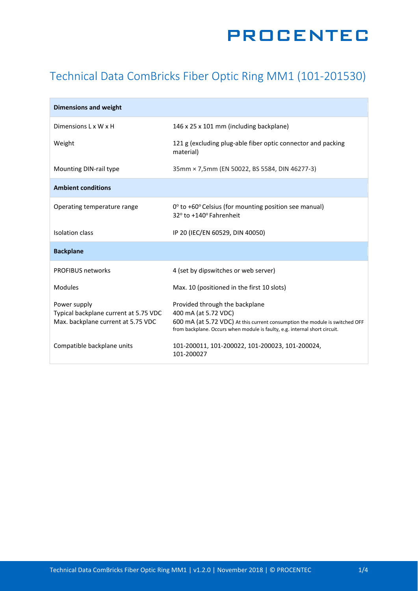## **PROCENTEC**

## Technical Data ComBricks Fiber Optic Ring MM1 (101-201530)

| <b>Dimensions and weight</b>                                                                |                                                                                                                                                                                                                     |
|---------------------------------------------------------------------------------------------|---------------------------------------------------------------------------------------------------------------------------------------------------------------------------------------------------------------------|
| Dimensions L x W x H                                                                        | 146 x 25 x 101 mm (including backplane)                                                                                                                                                                             |
| Weight                                                                                      | 121 g (excluding plug-able fiber optic connector and packing<br>material)                                                                                                                                           |
| Mounting DIN-rail type                                                                      | 35mm × 7,5mm (EN 50022, BS 5584, DIN 46277-3)                                                                                                                                                                       |
| <b>Ambient conditions</b>                                                                   |                                                                                                                                                                                                                     |
| Operating temperature range                                                                 | $0^{\circ}$ to +60 $^{\circ}$ Celsius (for mounting position see manual)<br>32° to +140° Fahrenheit                                                                                                                 |
| Isolation class                                                                             | IP 20 (IEC/EN 60529, DIN 40050)                                                                                                                                                                                     |
| <b>Backplane</b>                                                                            |                                                                                                                                                                                                                     |
| <b>PROFIBUS networks</b>                                                                    | 4 (set by dipswitches or web server)                                                                                                                                                                                |
| <b>Modules</b>                                                                              | Max. 10 (positioned in the first 10 slots)                                                                                                                                                                          |
| Power supply<br>Typical backplane current at 5.75 VDC<br>Max. backplane current at 5.75 VDC | Provided through the backplane<br>400 mA (at 5.72 VDC)<br>600 mA (at 5.72 VDC) At this current consumption the module is switched OFF<br>from backplane. Occurs when module is faulty, e.g. internal short circuit. |
| Compatible backplane units                                                                  | 101-200011, 101-200022, 101-200023, 101-200024,<br>101-200027                                                                                                                                                       |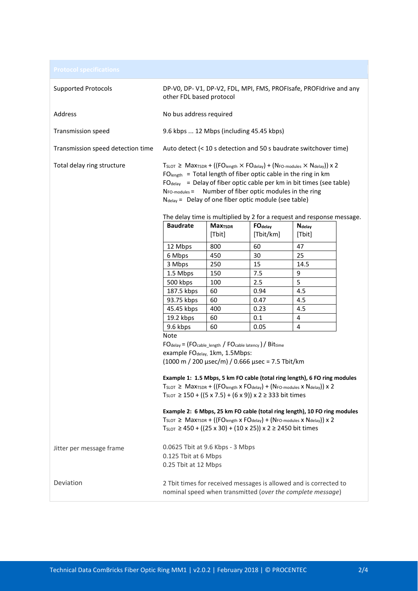| <b>Supported Protocols</b>        | other FDL based protocol                                                                                                                                                                                                                                                                                                                                                                                                                                                                                                       |                           |                                                                                    | DP-V0, DP-V1, DP-V2, FDL, MPI, FMS, PROFIsafe, PROFIdrive and any                                                                                                                                                        |  |
|-----------------------------------|--------------------------------------------------------------------------------------------------------------------------------------------------------------------------------------------------------------------------------------------------------------------------------------------------------------------------------------------------------------------------------------------------------------------------------------------------------------------------------------------------------------------------------|---------------------------|------------------------------------------------------------------------------------|--------------------------------------------------------------------------------------------------------------------------------------------------------------------------------------------------------------------------|--|
| Address                           | No bus address required                                                                                                                                                                                                                                                                                                                                                                                                                                                                                                        |                           |                                                                                    |                                                                                                                                                                                                                          |  |
| <b>Transmission speed</b>         | 9.6 kbps  12 Mbps (including 45.45 kbps)                                                                                                                                                                                                                                                                                                                                                                                                                                                                                       |                           |                                                                                    |                                                                                                                                                                                                                          |  |
| Transmission speed detection time |                                                                                                                                                                                                                                                                                                                                                                                                                                                                                                                                |                           |                                                                                    | Auto detect (< 10 s detection and 50 s baudrate switchover time)                                                                                                                                                         |  |
| Total delay ring structure        | $T_{SLOT} \geq$ Max <sub>TSDR</sub> + ((FO <sub>length</sub> $\times$ FO <sub>delay</sub> ) + (N <sub>FO-modules</sub> $\times$ N <sub>delay</sub> )) x 2<br>$FOlength$ = Total length of fiber optic cable in the ring in km<br>$FO_{delay}$ = Delay of fiber optic cable per km in bit times (see table)<br>$N_{FO\text{-modules}} =$ Number of fiber optic modules in the ring<br>$N_{\text{delay}}$ = Delay of one fiber optic module (see table)<br>The delay time is multiplied by 2 for a request and response message. |                           |                                                                                    |                                                                                                                                                                                                                          |  |
|                                   | <b>Baudrate</b>                                                                                                                                                                                                                                                                                                                                                                                                                                                                                                                | <b>Max<sub>TSDR</sub></b> | <b>FO</b> delay                                                                    | <b>N</b> delay                                                                                                                                                                                                           |  |
|                                   |                                                                                                                                                                                                                                                                                                                                                                                                                                                                                                                                | [Tbit]                    | [Tbit/km]                                                                          | [Tbit]                                                                                                                                                                                                                   |  |
|                                   | 12 Mbps                                                                                                                                                                                                                                                                                                                                                                                                                                                                                                                        | 800                       | 60                                                                                 | 47                                                                                                                                                                                                                       |  |
|                                   | 6 Mbps                                                                                                                                                                                                                                                                                                                                                                                                                                                                                                                         | 450                       | 30                                                                                 | 25                                                                                                                                                                                                                       |  |
|                                   | 3 Mbps                                                                                                                                                                                                                                                                                                                                                                                                                                                                                                                         | 250                       | 15                                                                                 | 14.5                                                                                                                                                                                                                     |  |
|                                   | 1.5 Mbps                                                                                                                                                                                                                                                                                                                                                                                                                                                                                                                       | 150                       | 7.5                                                                                | 9                                                                                                                                                                                                                        |  |
|                                   | 500 kbps                                                                                                                                                                                                                                                                                                                                                                                                                                                                                                                       | 100                       | 2.5                                                                                | 5                                                                                                                                                                                                                        |  |
|                                   | 187.5 kbps                                                                                                                                                                                                                                                                                                                                                                                                                                                                                                                     | 60                        | 0.94                                                                               | 4.5                                                                                                                                                                                                                      |  |
|                                   | 93.75 kbps                                                                                                                                                                                                                                                                                                                                                                                                                                                                                                                     | 60                        | 0.47                                                                               | 4.5                                                                                                                                                                                                                      |  |
|                                   | 45.45 kbps<br>19.2 kbps                                                                                                                                                                                                                                                                                                                                                                                                                                                                                                        | 400<br>60                 | 0.23<br>0.1                                                                        | 4.5<br>4                                                                                                                                                                                                                 |  |
|                                   | 9.6 kbps                                                                                                                                                                                                                                                                                                                                                                                                                                                                                                                       | 60                        | 0.05                                                                               | $\overline{4}$                                                                                                                                                                                                           |  |
|                                   | Note                                                                                                                                                                                                                                                                                                                                                                                                                                                                                                                           |                           |                                                                                    |                                                                                                                                                                                                                          |  |
|                                   | $FO_{delay} = (FO_{cable\_length} / FO_{cable\,latency}) / Bit_{time}$                                                                                                                                                                                                                                                                                                                                                                                                                                                         |                           |                                                                                    |                                                                                                                                                                                                                          |  |
|                                   | example FO <sub>delay</sub> , 1km, 1.5Mbps:                                                                                                                                                                                                                                                                                                                                                                                                                                                                                    |                           |                                                                                    |                                                                                                                                                                                                                          |  |
|                                   |                                                                                                                                                                                                                                                                                                                                                                                                                                                                                                                                |                           | $(1000 \text{ m} / 200 \text{ \mu}$ sec/m $)$ / 0.666 $\mu$ sec = 7.5 Tbit/km      |                                                                                                                                                                                                                          |  |
|                                   | Example 1: 1.5 Mbps, 5 km FO cable (total ring length), 6 FO ring modules<br>$T_{SLOT} \geq$ Max <sub>TSDR</sub> + ((FO <sub>length</sub> x FO <sub>delay</sub> ) + (N <sub>FO-modules</sub> x N <sub>delay</sub> )) x 2<br>$T_{SLOT} \ge 150 + ((5 \times 7.5) + (6 \times 9)) \times 2 \ge 333$ bit times                                                                                                                                                                                                                    |                           |                                                                                    |                                                                                                                                                                                                                          |  |
|                                   |                                                                                                                                                                                                                                                                                                                                                                                                                                                                                                                                |                           | $T_{SLOT} \ge 450 + ((25 \times 30) + (10 \times 25)) \times 2 \ge 2450$ bit times | Example 2: 6 Mbps, 25 km FO cable (total ring length), 10 FO ring modules<br>$T_{SLOT} \geq$ Max <sub>TSDR</sub> + ((FO <sub>length</sub> x FO <sub>delay</sub> ) + (N <sub>FO-modules</sub> x N <sub>delay</sub> )) x 2 |  |
| Jitter per message frame          | 0.0625 Tbit at 9.6 Kbps - 3 Mbps<br>0.125 Tbit at 6 Mbps<br>0.25 Tbit at 12 Mbps                                                                                                                                                                                                                                                                                                                                                                                                                                               |                           |                                                                                    |                                                                                                                                                                                                                          |  |
| Deviation                         |                                                                                                                                                                                                                                                                                                                                                                                                                                                                                                                                |                           |                                                                                    | 2 Tbit times for received messages is allowed and is corrected to<br>nominal speed when transmitted (over the complete message)                                                                                          |  |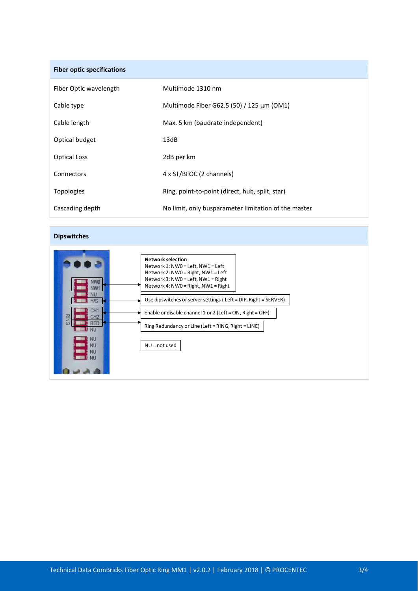| <b>Fiber optic specifications</b> |                                                      |
|-----------------------------------|------------------------------------------------------|
| Fiber Optic wavelength            | Multimode 1310 nm                                    |
| Cable type                        | Multimode Fiber G62.5 (50) / 125 μm (OM1)            |
| Cable length                      | Max. 5 km (baudrate independent)                     |
| Optical budget                    | 13dB                                                 |
| <b>Optical Loss</b>               | 2dB per km                                           |
| Connectors                        | 4 x ST/BFOC (2 channels)                             |
| <b>Topologies</b>                 | Ring, point-to-point (direct, hub, split, star)      |
| Cascading depth                   | No limit, only busparameter limitation of the master |

## **Dipswitches**

|                                | <b>Network selection</b>                                        |
|--------------------------------|-----------------------------------------------------------------|
|                                | Network 1: NW0 = Left, NW1 = Left                               |
|                                | Network 2: NW0 = Right, NW1 = Left                              |
|                                | Network 3: NW0 = Left, NW1 = Right                              |
|                                | Network 4: NW0 = Right, NW1 = Right                             |
| NU                             |                                                                 |
| H/S                            | Use dipswitches or server settings (Left = DIP, Right = SERVER) |
| CH <sub>1</sub>                | Enable or disable channel 1 or 2 (Left = ON, Right = OFF)       |
| <b>RING</b><br>CH <sub>2</sub> |                                                                 |
| <b>RFF</b>                     | Ring Redundancy or Line (Left = RING, Right = LINE)             |
| <b>NU</b>                      |                                                                 |
| <b>NU</b>                      |                                                                 |
| <b>NU</b>                      | $NU = not used$                                                 |
| <b>NU</b><br><b>NU</b>         |                                                                 |
|                                |                                                                 |
|                                |                                                                 |
|                                |                                                                 |